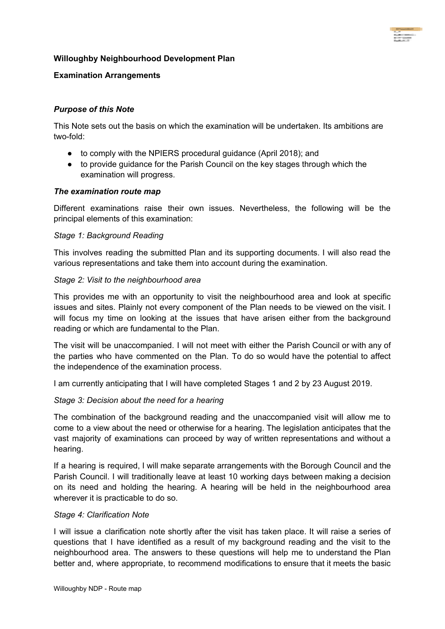# **Willoughby Neighbourhood Development Plan**

# **Examination Arrangements**

# *Purpose of this Note*

This Note sets out the basis on which the examination will be undertaken. Its ambitions are two-fold:

- to comply with the NPIERS procedural guidance (April 2018); and
- to provide guidance for the Parish Council on the key stages through which the examination will progress.

#### *The examination route map*

Different examinations raise their own issues. Nevertheless, the following will be the principal elements of this examination:

#### *Stage 1: Background Reading*

This involves reading the submitted Plan and its supporting documents. I will also read the various representations and take them into account during the examination.

### *Stage 2: Visit to the neighbourhood area*

This provides me with an opportunity to visit the neighbourhood area and look at specific issues and sites. Plainly not every component of the Plan needs to be viewed on the visit. I will focus my time on looking at the issues that have arisen either from the background reading or which are fundamental to the Plan.

The visit will be unaccompanied. I will not meet with either the Parish Council or with any of the parties who have commented on the Plan. To do so would have the potential to affect the independence of the examination process.

I am currently anticipating that I will have completed Stages 1 and 2 by 23 August 2019.

#### *Stage 3: Decision about the need for a hearing*

The combination of the background reading and the unaccompanied visit will allow me to come to a view about the need or otherwise for a hearing. The legislation anticipates that the vast majority of examinations can proceed by way of written representations and without a hearing.

If a hearing is required, I will make separate arrangements with the Borough Council and the Parish Council. I will traditionally leave at least 10 working days between making a decision on its need and holding the hearing. A hearing will be held in the neighbourhood area wherever it is practicable to do so.

#### *Stage 4: Clarification Note*

I will issue a clarification note shortly after the visit has taken place. It will raise a series of questions that I have identified as a result of my background reading and the visit to the neighbourhood area. The answers to these questions will help me to understand the Plan better and, where appropriate, to recommend modifications to ensure that it meets the basic